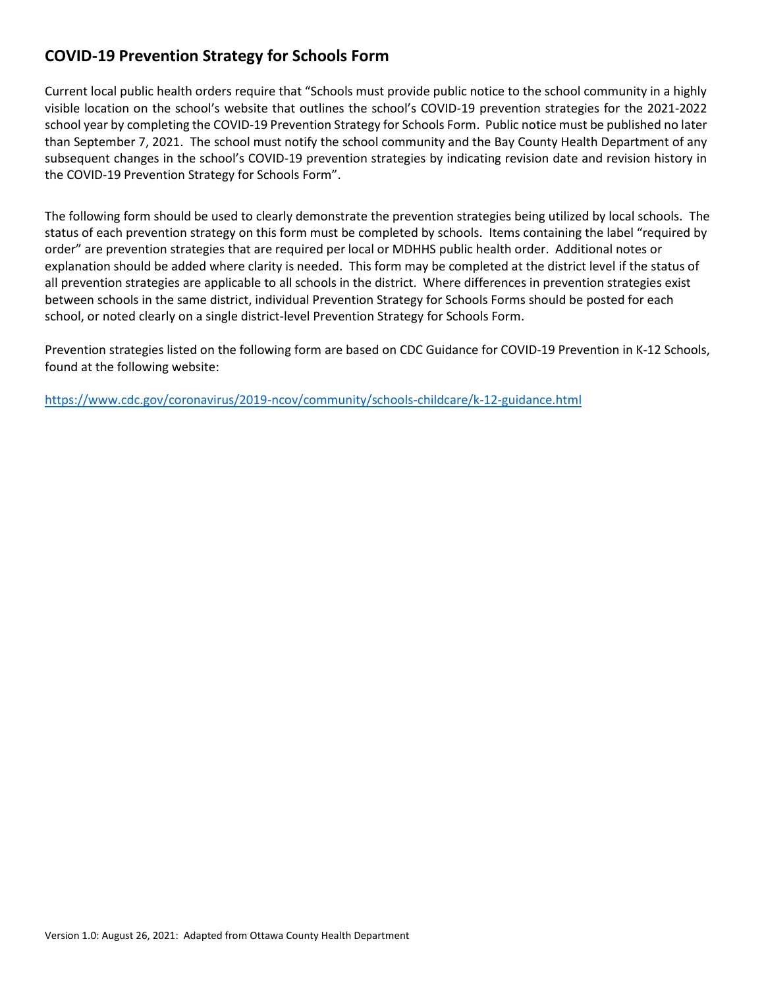## **COVID-19 Prevention Strategy for Schools Form**

Current local public health orders require that "Schools must provide public notice to the school community in a highly visible location on the school's website that outlines the school's COVID-19 prevention strategies for the 2021-2022 school year by completing the COVID-19 Prevention Strategy for Schools Form. Public notice must be published no later than September 7, 2021. The school must notify the school community and the Bay County Health Department of any subsequent changes in the school's COVID-19 prevention strategies by indicating revision date and revision history in the COVID-19 Prevention Strategy for Schools Form".

The following form should be used to clearly demonstrate the prevention strategies being utilized by local schools. The status of each prevention strategy on this form must be completed by schools. Items containing the label "required by order" are prevention strategies that are required per local or MDHHS public health order. Additional notes or explanation should be added where clarity is needed. This form may be completed at the district level if the status of all prevention strategies are applicable to all schools in the district. Where differences in prevention strategies exist between schools in the same district, individual Prevention Strategy for Schools Forms should be posted for each school, or noted clearly on a single district-level Prevention Strategy for Schools Form.

Prevention strategies listed on the following form are based on CDC Guidance for COVID-19 Prevention in K-12 Schools, found at the following website:

<https://www.cdc.gov/coronavirus/2019-ncov/community/schools-childcare/k-12-guidance.html>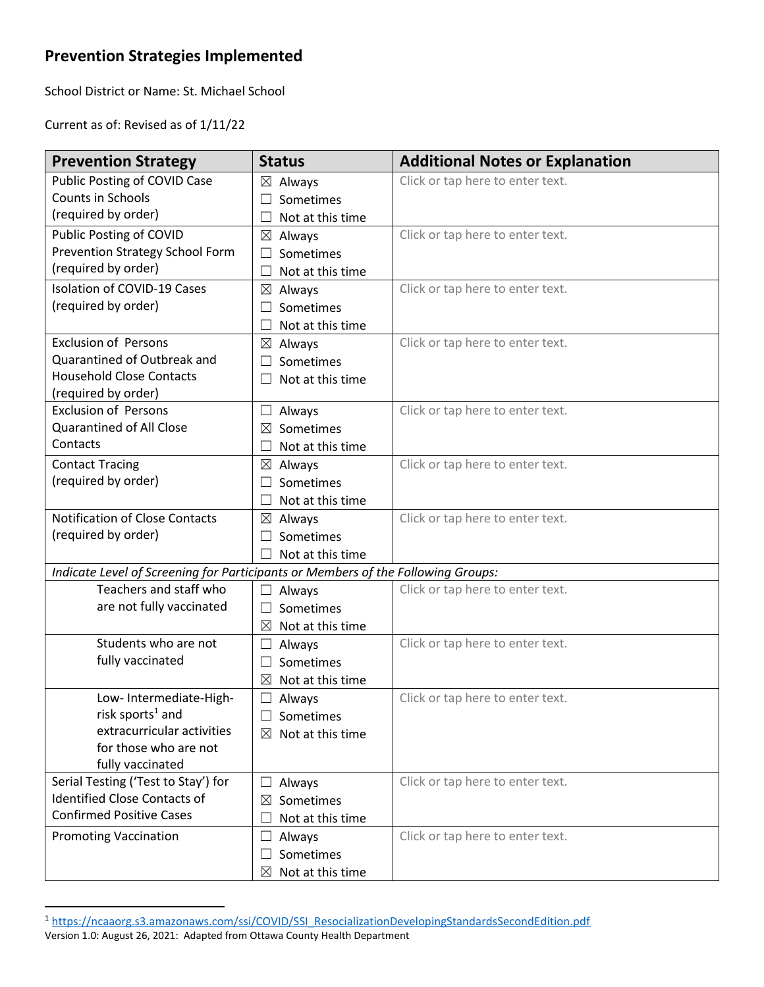## **Prevention Strategies Implemented**

School District or Name: St. Michael School

Current as of: Revised as of 1/11/22

| <b>Prevention Strategy</b>                                                       | <b>Status</b>                         | <b>Additional Notes or Explanation</b> |
|----------------------------------------------------------------------------------|---------------------------------------|----------------------------------------|
| Public Posting of COVID Case                                                     | $\boxtimes$ Always                    | Click or tap here to enter text.       |
| Counts in Schools                                                                | Sometimes<br>$\overline{\phantom{a}}$ |                                        |
| (required by order)                                                              | $\Box$<br>Not at this time            |                                        |
| Public Posting of COVID                                                          | ⊠<br>Always                           | Click or tap here to enter text.       |
| Prevention Strategy School Form                                                  | Sometimes<br>Ш                        |                                        |
| (required by order)                                                              | Not at this time<br>$\Box$            |                                        |
| <b>Isolation of COVID-19 Cases</b>                                               | Always<br>$\boxtimes$                 | Click or tap here to enter text.       |
| (required by order)                                                              | Sometimes<br>$\Box$                   |                                        |
|                                                                                  | Not at this time<br>$\mathbf{L}$      |                                        |
| <b>Exclusion of Persons</b>                                                      | ⊠<br>Always                           | Click or tap here to enter text.       |
| Quarantined of Outbreak and                                                      | Sometimes<br>$\vert \ \ \vert$        |                                        |
| <b>Household Close Contacts</b>                                                  | Not at this time<br>Ш                 |                                        |
| (required by order)                                                              |                                       |                                        |
| <b>Exclusion of Persons</b>                                                      | Always<br>⊔                           | Click or tap here to enter text.       |
| Quarantined of All Close                                                         | Sometimes<br>⊠                        |                                        |
| Contacts                                                                         | Not at this time<br>$\Box$            |                                        |
| <b>Contact Tracing</b>                                                           | $\boxtimes$<br>Always                 | Click or tap here to enter text.       |
| (required by order)                                                              | Sometimes<br>$\Box$                   |                                        |
|                                                                                  | Not at this time<br>$\Box$            |                                        |
| Notification of Close Contacts                                                   | $\boxtimes$<br>Always                 | Click or tap here to enter text.       |
| (required by order)                                                              | Sometimes<br>$\Box$                   |                                        |
|                                                                                  | Not at this time                      |                                        |
| Indicate Level of Screening for Participants or Members of the Following Groups: |                                       |                                        |
| Teachers and staff who                                                           | Always<br>⊔                           | Click or tap here to enter text.       |
| are not fully vaccinated                                                         | Sometimes<br>$\Box$                   |                                        |
|                                                                                  | $\boxtimes$<br>Not at this time       |                                        |
| Students who are not                                                             | Always<br>⊔                           | Click or tap here to enter text.       |
| fully vaccinated                                                                 | Sometimes<br>$\Box$                   |                                        |
|                                                                                  | ⊠<br>Not at this time                 |                                        |
| Low-Intermediate-High-                                                           | Always<br>⊔                           | Click or tap here to enter text.       |
| risk sports $1$ and                                                              | Sometimes                             |                                        |
| extracurricular activities                                                       | Not at this time<br>⊠                 |                                        |
| for those who are not                                                            |                                       |                                        |
| fully vaccinated                                                                 |                                       |                                        |
| Serial Testing ('Test to Stay') for                                              | Always<br>ப                           | Click or tap here to enter text.       |
| <b>Identified Close Contacts of</b>                                              | Sometimes<br>⊠                        |                                        |
| <b>Confirmed Positive Cases</b>                                                  | Not at this time<br>$\mathbf{L}$      |                                        |
| <b>Promoting Vaccination</b>                                                     | Always<br>Ш                           | Click or tap here to enter text.       |
|                                                                                  | Sometimes<br>ப                        |                                        |
|                                                                                  | Not at this time<br>⊠                 |                                        |

<sup>1</sup> [https://ncaaorg.s3.amazonaws.com/ssi/COVID/SSI\\_ResocializationDevelopingStandardsSecondEdition.pdf](https://ncaaorg.s3.amazonaws.com/ssi/COVID/SSI_ResocializationDevelopingStandardsSecondEdition.pdf)

Version 1.0: August 26, 2021: Adapted from Ottawa County Health Department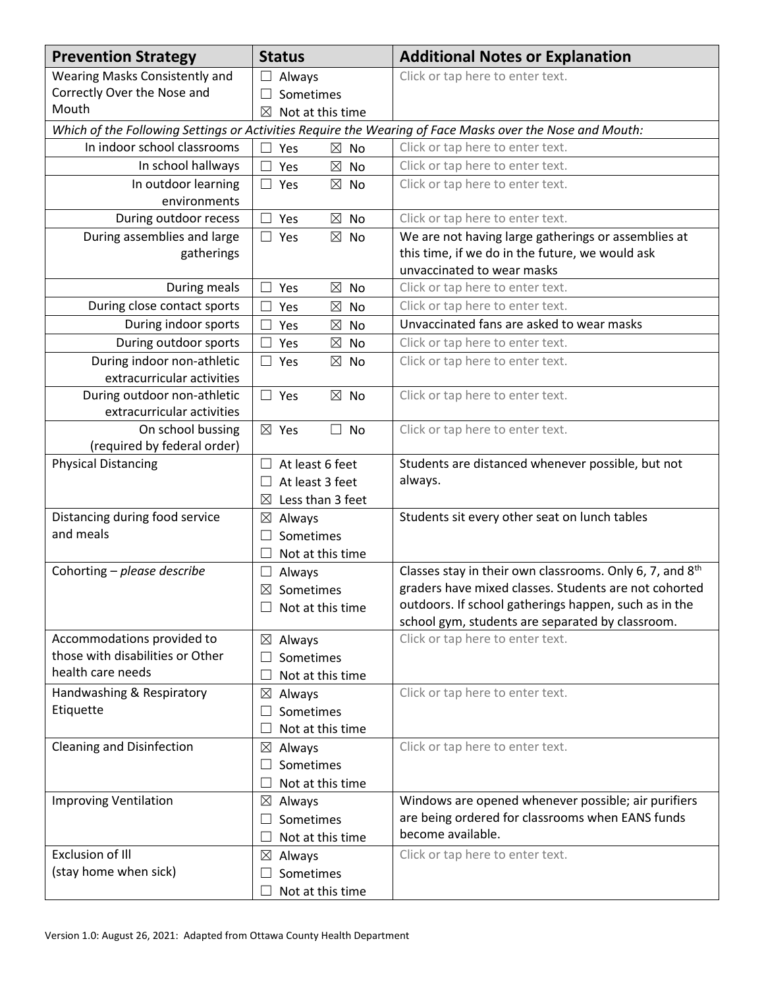| Wearing Masks Consistently and<br>Click or tap here to enter text.<br>Always<br>Correctly Over the Nose and<br>Sometimes<br>$\vert \ \ \vert$<br>Mouth<br>⊠<br>Not at this time  |  |  |  |  |
|----------------------------------------------------------------------------------------------------------------------------------------------------------------------------------|--|--|--|--|
|                                                                                                                                                                                  |  |  |  |  |
|                                                                                                                                                                                  |  |  |  |  |
|                                                                                                                                                                                  |  |  |  |  |
| Which of the Following Settings or Activities Require the Wearing of Face Masks over the Nose and Mouth:                                                                         |  |  |  |  |
| In indoor school classrooms<br>Click or tap here to enter text.<br>$\boxtimes$<br><b>No</b><br>Yes                                                                               |  |  |  |  |
| Click or tap here to enter text.<br>In school hallways<br>$\boxtimes$<br>Yes<br>No                                                                                               |  |  |  |  |
| Click or tap here to enter text.<br>In outdoor learning<br>$\Box$ Yes<br>$\boxtimes$<br><b>No</b>                                                                                |  |  |  |  |
| environments                                                                                                                                                                     |  |  |  |  |
| During outdoor recess<br>Yes<br>$\boxtimes$<br>No<br>Click or tap here to enter text.                                                                                            |  |  |  |  |
| We are not having large gatherings or assemblies at<br>During assemblies and large<br>$\Box$ Yes<br>$\boxtimes$<br>No                                                            |  |  |  |  |
| this time, if we do in the future, we would ask<br>gatherings                                                                                                                    |  |  |  |  |
| unvaccinated to wear masks                                                                                                                                                       |  |  |  |  |
| Click or tap here to enter text.<br>During meals<br>Yes<br>$\boxtimes$<br>No                                                                                                     |  |  |  |  |
| During close contact sports<br>Click or tap here to enter text.<br>Yes<br>⊠<br><b>No</b>                                                                                         |  |  |  |  |
| Unvaccinated fans are asked to wear masks<br>During indoor sports<br>Yes<br>⊠<br>No                                                                                              |  |  |  |  |
| During outdoor sports<br>Click or tap here to enter text.<br>$\boxtimes$<br>Yes<br>No                                                                                            |  |  |  |  |
| During indoor non-athletic<br>Click or tap here to enter text.<br>$\boxtimes$ No<br>$\square$ Yes                                                                                |  |  |  |  |
| extracurricular activities                                                                                                                                                       |  |  |  |  |
| During outdoor non-athletic<br>Click or tap here to enter text.<br>$\Box$ Yes<br>$\boxtimes$ No                                                                                  |  |  |  |  |
| extracurricular activities                                                                                                                                                       |  |  |  |  |
| On school bussing<br>Click or tap here to enter text.<br>$\boxtimes$ Yes<br>$\Box$<br>No                                                                                         |  |  |  |  |
| (required by federal order)<br><b>Physical Distancing</b>                                                                                                                        |  |  |  |  |
| Students are distanced whenever possible, but not<br>At least 6 feet<br>$\Box$<br>always.                                                                                        |  |  |  |  |
| At least 3 feet<br>Ш                                                                                                                                                             |  |  |  |  |
| Less than 3 feet<br>$\boxtimes$                                                                                                                                                  |  |  |  |  |
| Distancing during food service<br>Students sit every other seat on lunch tables<br>$\boxtimes$ Always<br>and meals                                                               |  |  |  |  |
| Sometimes<br>$\vert \ \ \vert$                                                                                                                                                   |  |  |  |  |
| $\Box$<br>Not at this time                                                                                                                                                       |  |  |  |  |
| Classes stay in their own classrooms. Only 6, 7, and 8 <sup>th</sup><br>Cohorting - please describe<br>$\Box$<br>Always<br>graders have mixed classes. Students are not cohorted |  |  |  |  |
| $\boxtimes$ Sometimes<br>outdoors. If school gatherings happen, such as in the                                                                                                   |  |  |  |  |
| $\Box$ Not at this time<br>school gym, students are separated by classroom.                                                                                                      |  |  |  |  |
| Accommodations provided to<br>Click or tap here to enter text.<br>$\boxtimes$ Always                                                                                             |  |  |  |  |
| those with disabilities or Other<br>Sometimes                                                                                                                                    |  |  |  |  |
| health care needs<br>Not at this time<br>L                                                                                                                                       |  |  |  |  |
| Handwashing & Respiratory<br>Click or tap here to enter text.<br>$\boxtimes$ Always                                                                                              |  |  |  |  |
| Etiquette<br>Sometimes<br>$\vert \ \ \vert$                                                                                                                                      |  |  |  |  |
| Not at this time                                                                                                                                                                 |  |  |  |  |
| <b>Cleaning and Disinfection</b><br>Click or tap here to enter text.<br>⊠<br>Always                                                                                              |  |  |  |  |
| Sometimes<br>$\overline{\phantom{a}}$                                                                                                                                            |  |  |  |  |
| Not at this time                                                                                                                                                                 |  |  |  |  |
| <b>Improving Ventilation</b><br>Windows are opened whenever possible; air purifiers<br>$\boxtimes$ Always                                                                        |  |  |  |  |
| are being ordered for classrooms when EANS funds<br>Sometimes<br>$\Box$                                                                                                          |  |  |  |  |
| become available.<br>Not at this time<br>$\Box$                                                                                                                                  |  |  |  |  |
| <b>Exclusion of Ill</b><br>Click or tap here to enter text.<br>$\boxtimes$ Always                                                                                                |  |  |  |  |
| (stay home when sick)<br>Sometimes                                                                                                                                               |  |  |  |  |
| Not at this time                                                                                                                                                                 |  |  |  |  |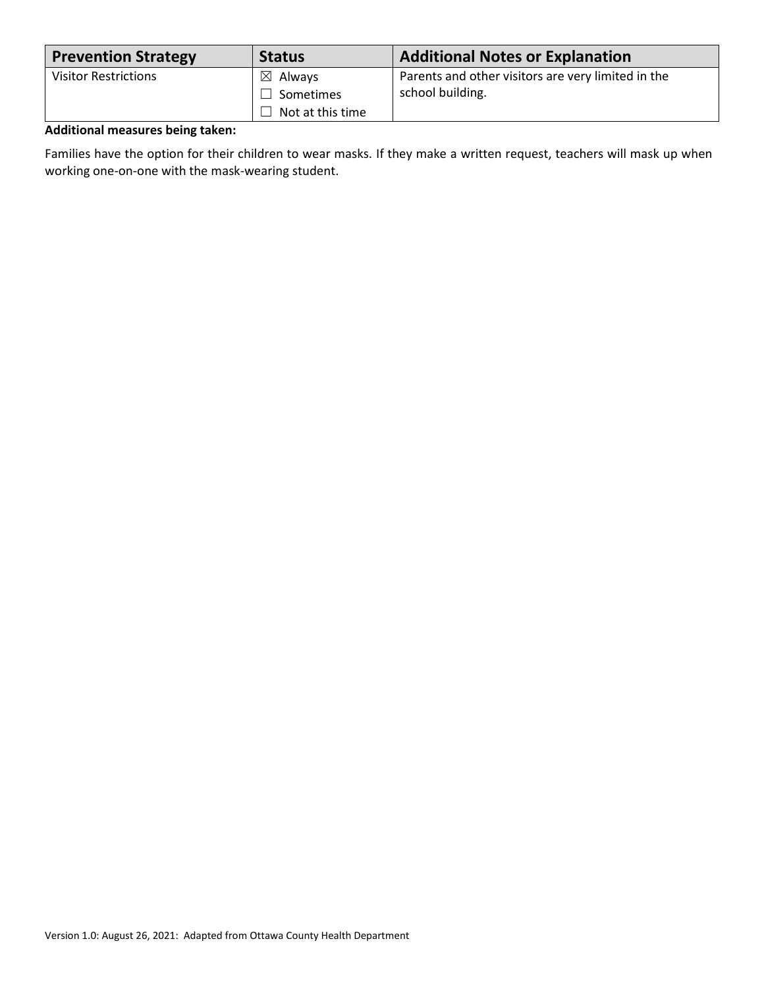| <b>Prevention Strategy</b>  | <b>Status</b>      | <b>Additional Notes or Explanation</b>             |
|-----------------------------|--------------------|----------------------------------------------------|
| <b>Visitor Restrictions</b> | $\boxtimes$ Always | Parents and other visitors are very limited in the |
|                             | $\Box$ Sometimes   | school building.                                   |
|                             | Not at this time   |                                                    |

## **Additional measures being taken:**

Families have the option for their children to wear masks. If they make a written request, teachers will mask up when working one-on-one with the mask-wearing student.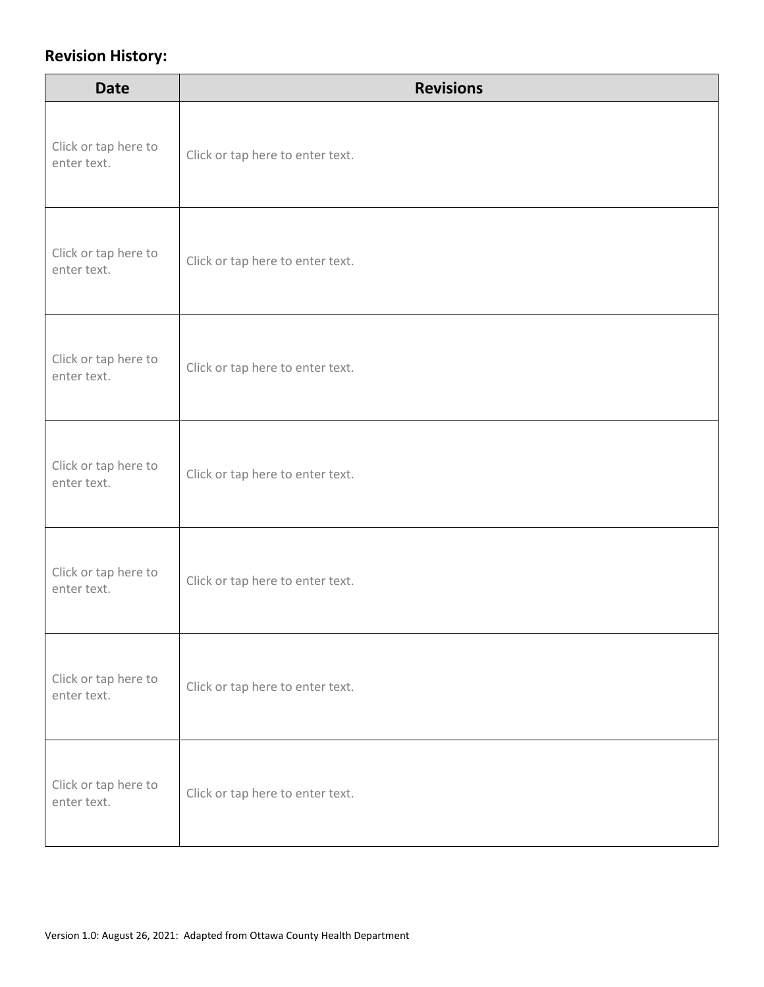## **Revision History:**

| <b>Date</b>                         | <b>Revisions</b>                 |
|-------------------------------------|----------------------------------|
| Click or tap here to<br>enter text. | Click or tap here to enter text. |
| Click or tap here to<br>enter text. | Click or tap here to enter text. |
| Click or tap here to<br>enter text. | Click or tap here to enter text. |
| Click or tap here to<br>enter text. | Click or tap here to enter text. |
| Click or tap here to<br>enter text. | Click or tap here to enter text. |
| Click or tap here to<br>enter text. | Click or tap here to enter text. |
| Click or tap here to<br>enter text. | Click or tap here to enter text. |